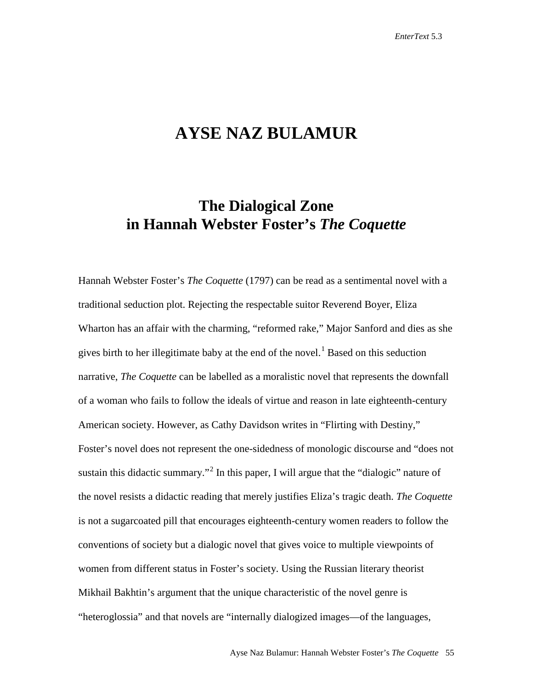## **AYSE NAZ BULAMUR**

## **The Dialogical Zone in Hannah Webster Foster's** *The Coquette*

Hannah Webster Foster's *The Coquette* (1797) can be read as a sentimental novel with a traditional seduction plot. Rejecting the respectable suitor Reverend Boyer, Eliza Wharton has an affair with the charming, "reformed rake," Major Sanford and dies as she gives birth to her illegitimate baby at the end of the novel.<sup>[1](#page-16-0)</sup> Based on this seduction narrative, *The Coquette* can be labelled as a moralistic novel that represents the downfall of a woman who fails to follow the ideals of virtue and reason in late eighteenth-century American society. However, as Cathy Davidson writes in "Flirting with Destiny," Foster's novel does not represent the one-sidedness of monologic discourse and "does not sustain this didactic summary.<sup>"[2](#page-16-1)</sup> In this paper, I will argue that the "dialogic" nature of the novel resists a didactic reading that merely justifies Eliza's tragic death. *The Coquette* is not a sugarcoated pill that encourages eighteenth-century women readers to follow the conventions of society but a dialogic novel that gives voice to multiple viewpoints of women from different status in Foster's society. Using the Russian literary theorist Mikhail Bakhtin's argument that the unique characteristic of the novel genre is "heteroglossia" and that novels are "internally dialogized images—of the languages,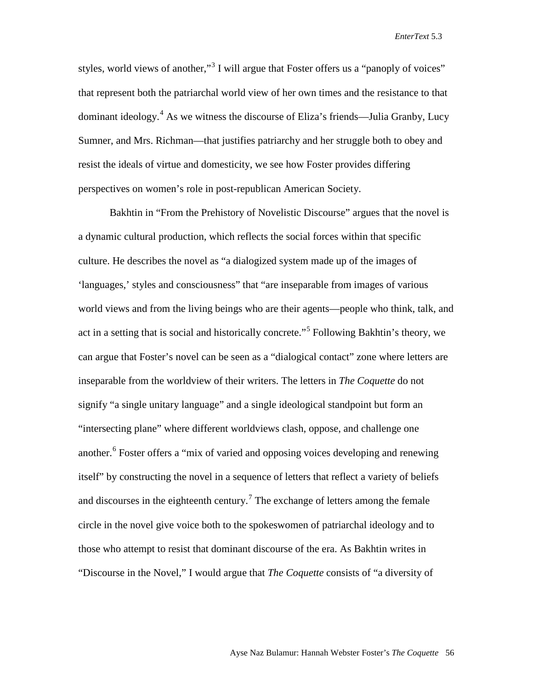styles, world views of another,"<sup>[3](#page-17-0)</sup> I will argue that Foster offers us a "panoply of voices" that represent both the patriarchal world view of her own times and the resistance to that dominant ideology.<sup>[4](#page-17-1)</sup> As we witness the discourse of Eliza's friends—Julia Granby, Lucy Sumner, and Mrs. Richman—that justifies patriarchy and her struggle both to obey and resist the ideals of virtue and domesticity, we see how Foster provides differing perspectives on women's role in post-republican American Society.

Bakhtin in "From the Prehistory of Novelistic Discourse" argues that the novel is a dynamic cultural production, which reflects the social forces within that specific culture. He describes the novel as "a dialogized system made up of the images of 'languages,' styles and consciousness" that "are inseparable from images of various world views and from the living beings who are their agents—people who think, talk, and act in a setting that is social and historically concrete."[5](#page-17-2) Following Bakhtin's theory, we can argue that Foster's novel can be seen as a "dialogical contact" zone where letters are inseparable from the worldview of their writers. The letters in *The Coquette* do not signify "a single unitary language" and a single ideological standpoint but form an "intersecting plane" where different worldviews clash, oppose, and challenge one another.<sup>[6](#page-17-3)</sup> Foster offers a "mix of varied and opposing voices developing and renewing itself" by constructing the novel in a sequence of letters that reflect a variety of beliefs and discourses in the eighteenth century.<sup>[7](#page-17-4)</sup> The exchange of letters among the female circle in the novel give voice both to the spokeswomen of patriarchal ideology and to those who attempt to resist that dominant discourse of the era. As Bakhtin writes in "Discourse in the Novel," I would argue that *The Coquette* consists of "a diversity of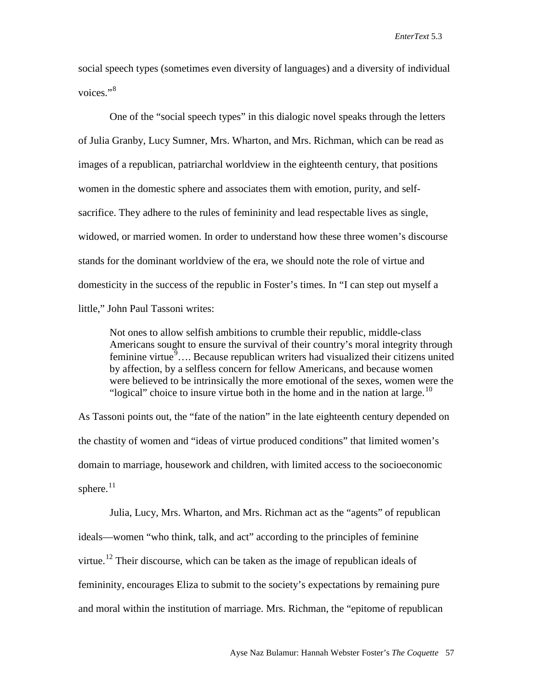social speech types (sometimes even diversity of languages) and a diversity of individual voices."<sup>[8](#page-17-5)</sup>

One of the "social speech types" in this dialogic novel speaks through the letters of Julia Granby, Lucy Sumner, Mrs. Wharton, and Mrs. Richman, which can be read as images of a republican, patriarchal worldview in the eighteenth century, that positions women in the domestic sphere and associates them with emotion, purity, and selfsacrifice. They adhere to the rules of femininity and lead respectable lives as single, widowed, or married women. In order to understand how these three women's discourse stands for the dominant worldview of the era, we should note the role of virtue and domesticity in the success of the republic in Foster's times. In "I can step out myself a little," John Paul Tassoni writes:

Not ones to allow selfish ambitions to crumble their republic, middle-class Americans sought to ensure the survival of their country's moral integrity through feminine virtue $\mathbb{S}$ ... Because republican writers had visualized their citizens united by affection, by a selfless concern for fellow Americans, and because women were believed to be intrinsically the more emotional of the sexes, women were the "logical" choice to insure virtue both in the home and in the nation at large.<sup>[10](#page-17-7)</sup>

As Tassoni points out, the "fate of the nation" in the late eighteenth century depended on the chastity of women and "ideas of virtue produced conditions" that limited women's domain to marriage, housework and children, with limited access to the socioeconomic sphere.<sup>11</sup>

Julia, Lucy, Mrs. Wharton, and Mrs. Richman act as the "agents" of republican ideals—women "who think, talk, and act" according to the principles of feminine virtue.<sup>[12](#page-17-9)</sup> Their discourse, which can be taken as the image of republican ideals of femininity, encourages Eliza to submit to the society's expectations by remaining pure and moral within the institution of marriage. Mrs. Richman, the "epitome of republican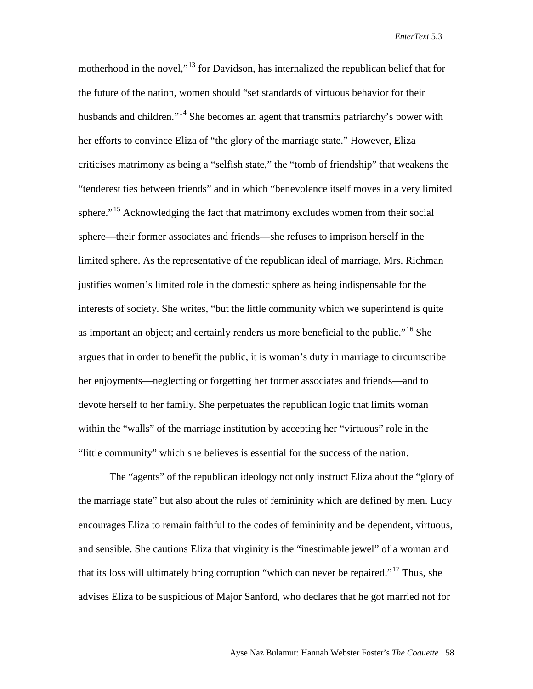motherhood in the novel,<sup>"[13](#page-17-10)</sup> for Davidson, has internalized the republican belief that for the future of the nation, women should "set standards of virtuous behavior for their husbands and children."<sup>[14](#page-17-11)</sup> She becomes an agent that transmits patriarchy's power with her efforts to convince Eliza of "the glory of the marriage state." However, Eliza criticises matrimony as being a "selfish state," the "tomb of friendship" that weakens the "tenderest ties between friends" and in which "benevolence itself moves in a very limited sphere."<sup>[15](#page-17-12)</sup> Acknowledging the fact that matrimony excludes women from their social sphere—their former associates and friends—she refuses to imprison herself in the limited sphere. As the representative of the republican ideal of marriage, Mrs. Richman justifies women's limited role in the domestic sphere as being indispensable for the interests of society. She writes, "but the little community which we superintend is quite as important an object; and certainly renders us more beneficial to the public."<sup>[16](#page-17-13)</sup> She argues that in order to benefit the public, it is woman's duty in marriage to circumscribe her enjoyments—neglecting or forgetting her former associates and friends—and to devote herself to her family. She perpetuates the republican logic that limits woman within the "walls" of the marriage institution by accepting her "virtuous" role in the "little community" which she believes is essential for the success of the nation.

The "agents" of the republican ideology not only instruct Eliza about the "glory of the marriage state" but also about the rules of femininity which are defined by men. Lucy encourages Eliza to remain faithful to the codes of femininity and be dependent, virtuous, and sensible. She cautions Eliza that virginity is the "inestimable jewel" of a woman and that its loss will ultimately bring corruption "which can never be repaired."[17](#page-17-14) Thus, she advises Eliza to be suspicious of Major Sanford, who declares that he got married not for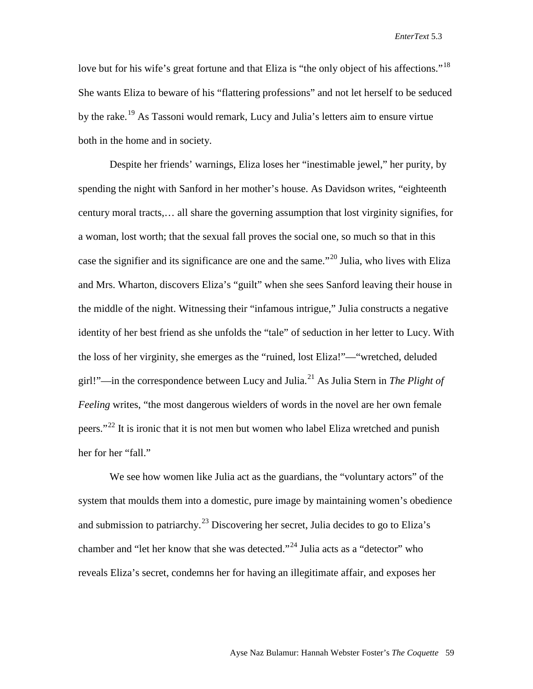love but for his wife's great fortune and that Eliza is "the only object of his affections."<sup>[18](#page-17-15)</sup> She wants Eliza to beware of his "flattering professions" and not let herself to be seduced by the rake.<sup>[19](#page-17-16)</sup> As Tassoni would remark, Lucy and Julia's letters aim to ensure virtue both in the home and in society.

Despite her friends' warnings, Eliza loses her "inestimable jewel," her purity, by spending the night with Sanford in her mother's house. As Davidson writes, "eighteenth century moral tracts,… all share the governing assumption that lost virginity signifies, for a woman, lost worth; that the sexual fall proves the social one, so much so that in this case the signifier and its significance are one and the same."[20](#page-17-17) Julia, who lives with Eliza and Mrs. Wharton, discovers Eliza's "guilt" when she sees Sanford leaving their house in the middle of the night. Witnessing their "infamous intrigue," Julia constructs a negative identity of her best friend as she unfolds the "tale" of seduction in her letter to Lucy. With the loss of her virginity, she emerges as the "ruined, lost Eliza!"—"wretched, deluded girl!"—in the correspondence between Lucy and Julia.[21](#page-17-18) As Julia Stern in *The Plight of Feeling* writes, "the most dangerous wielders of words in the novel are her own female peers."<sup>[22](#page-17-19)</sup> It is ironic that it is not men but women who label Eliza wretched and punish her for her "fall."

We see how women like Julia act as the guardians, the "voluntary actors" of the system that moulds them into a domestic, pure image by maintaining women's obedience and submission to patriarchy.<sup>[23](#page-17-20)</sup> Discovering her secret, Julia decides to go to Eliza's chamber and "let her know that she was detected."<sup>[24](#page-17-21)</sup> Julia acts as a "detector" who reveals Eliza's secret, condemns her for having an illegitimate affair, and exposes her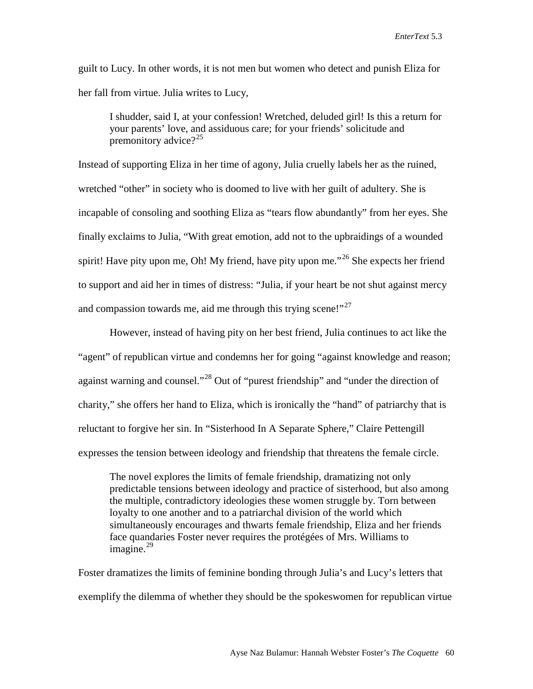guilt to Lucy. In other words, it is not men but women who detect and punish Eliza for her fall from virtue. Julia writes to Lucy,

I shudder, said I, at your confession! Wretched, deluded girl! Is this a return for your parents' love, and assiduous care; for your friends' solicitude and premonitory advice? $2^2$ 

Instead of supporting Eliza in her time of agony, Julia cruelly labels her as the ruined, wretched "other" in society who is doomed to live with her guilt of adultery. She is incapable of consoling and soothing Eliza as "tears flow abundantly" from her eyes. She finally exclaims to Julia, "With great emotion, add not to the upbraidings of a wounded spirit! Have pity upon me, Oh! My friend, have pity upon me."<sup>[26](#page-17-23)</sup> She expects her friend to support and aid her in times of distress: "Julia, if your heart be not shut against mercy and compassion towards me, aid me through this trying scene!" $^{27}$ 

However, instead of having pity on her best friend, Julia continues to act like the "agent" of republican virtue and condemns her for going "against knowledge and reason; against warning and counsel."[28](#page-17-25) Out of "purest friendship" and "under the direction of charity," she offers her hand to Eliza, which is ironically the "hand" of patriarchy that is reluctant to forgive her sin. In "Sisterhood In A Separate Sphere," Claire Pettengill expresses the tension between ideology and friendship that threatens the female circle.

The novel explores the limits of female friendship, dramatizing not only predictable tensions between ideology and practice of sisterhood, but also among the multiple, contradictory ideologies these women struggle by. Torn between loyalty to one another and to a patriarchal division of the world which simultaneously encourages and thwarts female friendship, Eliza and her friends face quandaries Foster never requires the protégées of Mrs. Williams to imagine. $^{29}$  $^{29}$  $^{29}$ 

Foster dramatizes the limits of feminine bonding through Julia's and Lucy's letters that exemplify the dilemma of whether they should be the spokeswomen for republican virtue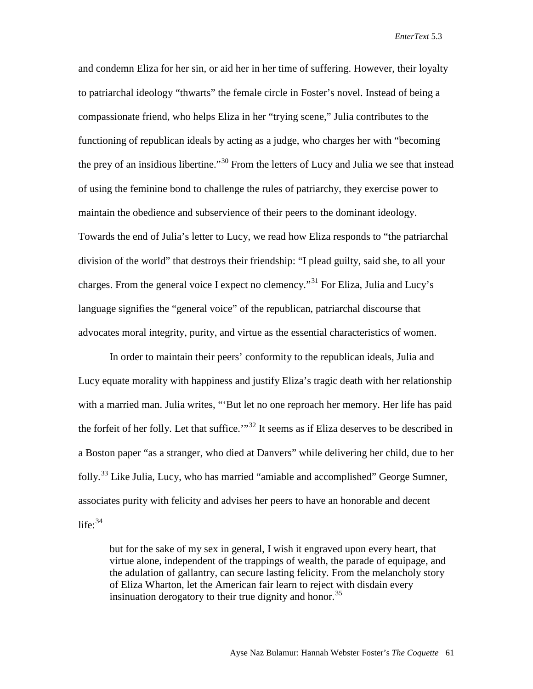and condemn Eliza for her sin, or aid her in her time of suffering. However, their loyalty to patriarchal ideology "thwarts" the female circle in Foster's novel. Instead of being a compassionate friend, who helps Eliza in her "trying scene," Julia contributes to the functioning of republican ideals by acting as a judge, who charges her with "becoming the prey of an insidious libertine."<sup>[30](#page-17-27)</sup> From the letters of Lucy and Julia we see that instead of using the feminine bond to challenge the rules of patriarchy, they exercise power to maintain the obedience and subservience of their peers to the dominant ideology. Towards the end of Julia's letter to Lucy, we read how Eliza responds to "the patriarchal division of the world" that destroys their friendship: "I plead guilty, said she, to all your charges. From the general voice I expect no clemency."[31](#page-17-28) For Eliza, Julia and Lucy's language signifies the "general voice" of the republican, patriarchal discourse that advocates moral integrity, purity, and virtue as the essential characteristics of women.

In order to maintain their peers' conformity to the republican ideals, Julia and Lucy equate morality with happiness and justify Eliza's tragic death with her relationship with a married man. Julia writes, "'But let no one reproach her memory. Her life has paid the forfeit of her folly. Let that suffice.<sup>"[32](#page-17-29)</sup> It seems as if Eliza deserves to be described in a Boston paper "as a stranger, who died at Danvers" while delivering her child, due to her folly.<sup>[33](#page-17-30)</sup> Like Julia, Lucy, who has married "amiable and accomplished" George Sumner, associates purity with felicity and advises her peers to have an honorable and decent life: $34$ 

but for the sake of my sex in general, I wish it engraved upon every heart, that virtue alone, independent of the trappings of wealth, the parade of equipage, and the adulation of gallantry, can secure lasting felicity. From the melancholy story of Eliza Wharton, let the American fair learn to reject with disdain every insinuation derogatory to their true dignity and honor.<sup>[35](#page-17-32)</sup>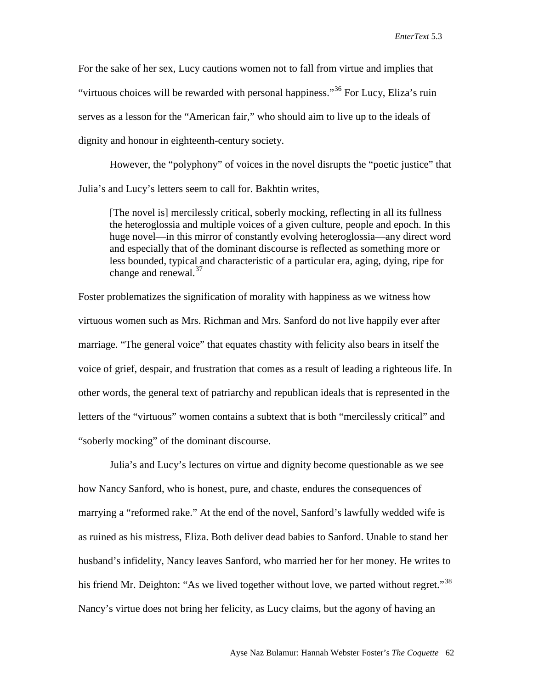For the sake of her sex, Lucy cautions women not to fall from virtue and implies that "virtuous choices will be rewarded with personal happiness."<sup>[36](#page-17-33)</sup> For Lucy, Eliza's ruin serves as a lesson for the "American fair," who should aim to live up to the ideals of dignity and honour in eighteenth-century society.

However, the "polyphony" of voices in the novel disrupts the "poetic justice" that Julia's and Lucy's letters seem to call for. Bakhtin writes,

[The novel is] mercilessly critical, soberly mocking, reflecting in all its fullness the heteroglossia and multiple voices of a given culture, people and epoch. In this huge novel—in this mirror of constantly evolving heteroglossia—any direct word and especially that of the dominant discourse is reflected as something more or less bounded, typical and characteristic of a particular era, aging, dying, ripe for change and renewal.<sup>[37](#page-17-34)</sup>

Foster problematizes the signification of morality with happiness as we witness how virtuous women such as Mrs. Richman and Mrs. Sanford do not live happily ever after marriage. "The general voice" that equates chastity with felicity also bears in itself the voice of grief, despair, and frustration that comes as a result of leading a righteous life. In other words, the general text of patriarchy and republican ideals that is represented in the letters of the "virtuous" women contains a subtext that is both "mercilessly critical" and "soberly mocking" of the dominant discourse.

Julia's and Lucy's lectures on virtue and dignity become questionable as we see how Nancy Sanford, who is honest, pure, and chaste, endures the consequences of marrying a "reformed rake." At the end of the novel, Sanford's lawfully wedded wife is as ruined as his mistress, Eliza. Both deliver dead babies to Sanford. Unable to stand her husband's infidelity, Nancy leaves Sanford, who married her for her money. He writes to his friend Mr. Deighton: "As we lived together without love, we parted without regret."<sup>[38](#page-17-35)</sup> Nancy's virtue does not bring her felicity, as Lucy claims, but the agony of having an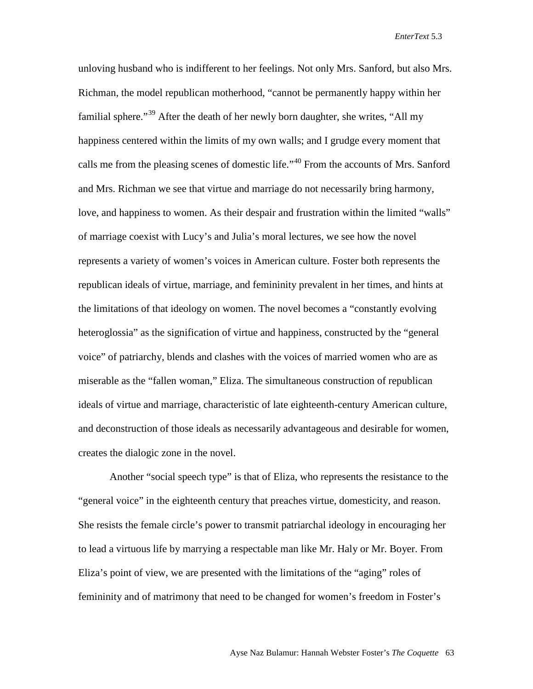unloving husband who is indifferent to her feelings. Not only Mrs. Sanford, but also Mrs. Richman, the model republican motherhood, "cannot be permanently happy within her familial sphere."[39](#page-17-36) After the death of her newly born daughter, she writes, "All my happiness centered within the limits of my own walls; and I grudge every moment that calls me from the pleasing scenes of domestic life."<sup>[40](#page-17-37)</sup> From the accounts of Mrs. Sanford and Mrs. Richman we see that virtue and marriage do not necessarily bring harmony, love, and happiness to women. As their despair and frustration within the limited "walls" of marriage coexist with Lucy's and Julia's moral lectures, we see how the novel represents a variety of women's voices in American culture. Foster both represents the republican ideals of virtue, marriage, and femininity prevalent in her times, and hints at the limitations of that ideology on women. The novel becomes a "constantly evolving heteroglossia" as the signification of virtue and happiness, constructed by the "general voice" of patriarchy, blends and clashes with the voices of married women who are as miserable as the "fallen woman," Eliza. The simultaneous construction of republican ideals of virtue and marriage, characteristic of late eighteenth-century American culture, and deconstruction of those ideals as necessarily advantageous and desirable for women, creates the dialogic zone in the novel.

Another "social speech type" is that of Eliza, who represents the resistance to the "general voice" in the eighteenth century that preaches virtue, domesticity, and reason. She resists the female circle's power to transmit patriarchal ideology in encouraging her to lead a virtuous life by marrying a respectable man like Mr. Haly or Mr. Boyer. From Eliza's point of view, we are presented with the limitations of the "aging" roles of femininity and of matrimony that need to be changed for women's freedom in Foster's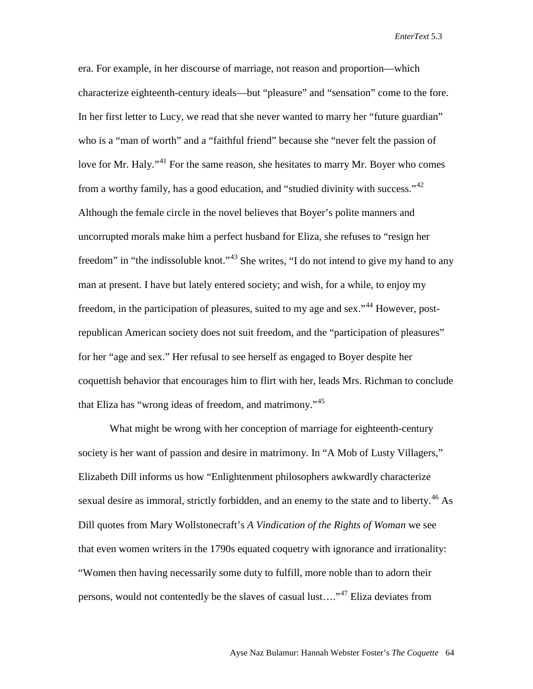era. For example, in her discourse of marriage, not reason and proportion—which characterize eighteenth-century ideals—but "pleasure" and "sensation" come to the fore. In her first letter to Lucy, we read that she never wanted to marry her "future guardian" who is a "man of worth" and a "faithful friend" because she "never felt the passion of love for Mr. Haly."<sup>[41](#page-17-38)</sup> For the same reason, she hesitates to marry Mr. Boyer who comes from a worthy family, has a good education, and "studied divinity with success."[42](#page-17-39) Although the female circle in the novel believes that Boyer's polite manners and uncorrupted morals make him a perfect husband for Eliza, she refuses to "resign her freedom" in "the indissoluble knot."<sup>[43](#page-17-40)</sup> She writes, "I do not intend to give my hand to any man at present. I have but lately entered society; and wish, for a while, to enjoy my freedom, in the participation of pleasures, suited to my age and sex."<sup>[44](#page-17-41)</sup> However, postrepublican American society does not suit freedom, and the "participation of pleasures" for her "age and sex." Her refusal to see herself as engaged to Boyer despite her coquettish behavior that encourages him to flirt with her, leads Mrs. Richman to conclude that Eliza has "wrong ideas of freedom, and matrimony."<sup>[45](#page-17-42)</sup>

What might be wrong with her conception of marriage for eighteenth-century society is her want of passion and desire in matrimony. In "A Mob of Lusty Villagers," Elizabeth Dill informs us how "Enlightenment philosophers awkwardly characterize sexual desire as immoral, strictly forbidden, and an enemy to the state and to liberty.<sup>[46](#page-17-43)</sup> As Dill quotes from Mary Wollstonecraft's *A Vindication of the Rights of Woman* we see that even women writers in the 1790s equated coquetry with ignorance and irrationality: "Women then having necessarily some duty to fulfill, more noble than to adorn their persons, would not contentedly be the slaves of casual lust...."<sup>[47](#page-17-44)</sup> Eliza deviates from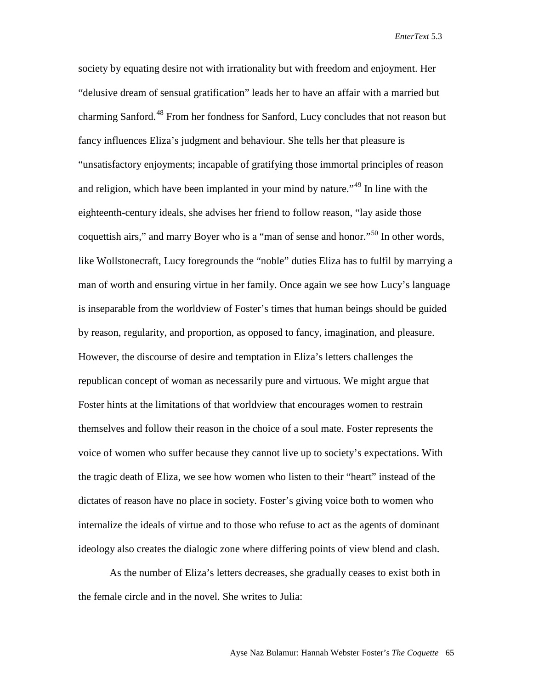society by equating desire not with irrationality but with freedom and enjoyment. Her "delusive dream of sensual gratification" leads her to have an affair with a married but charming Sanford.<sup>[48](#page-17-45)</sup> From her fondness for Sanford, Lucy concludes that not reason but fancy influences Eliza's judgment and behaviour. She tells her that pleasure is "unsatisfactory enjoyments; incapable of gratifying those immortal principles of reason and religion, which have been implanted in your mind by nature."[49](#page-17-1) In line with the eighteenth-century ideals, she advises her friend to follow reason, "lay aside those coquettish airs," and marry Boyer who is a "man of sense and honor."<sup>[50](#page-17-2)</sup> In other words, like Wollstonecraft, Lucy foregrounds the "noble" duties Eliza has to fulfil by marrying a man of worth and ensuring virtue in her family. Once again we see how Lucy's language is inseparable from the worldview of Foster's times that human beings should be guided by reason, regularity, and proportion, as opposed to fancy, imagination, and pleasure. However, the discourse of desire and temptation in Eliza's letters challenges the republican concept of woman as necessarily pure and virtuous. We might argue that Foster hints at the limitations of that worldview that encourages women to restrain themselves and follow their reason in the choice of a soul mate. Foster represents the voice of women who suffer because they cannot live up to society's expectations. With the tragic death of Eliza, we see how women who listen to their "heart" instead of the dictates of reason have no place in society. Foster's giving voice both to women who internalize the ideals of virtue and to those who refuse to act as the agents of dominant ideology also creates the dialogic zone where differing points of view blend and clash.

As the number of Eliza's letters decreases, she gradually ceases to exist both in the female circle and in the novel. She writes to Julia: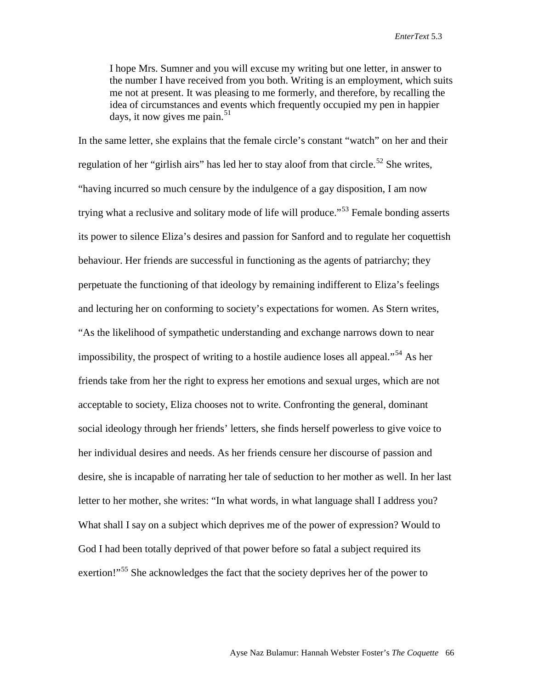I hope Mrs. Sumner and you will excuse my writing but one letter, in answer to the number I have received from you both. Writing is an employment, which suits me not at present. It was pleasing to me formerly, and therefore, by recalling the idea of circumstances and events which frequently occupied my pen in happier days, it now gives me pain.<sup>[51](#page-17-3)</sup>

In the same letter, she explains that the female circle's constant "watch" on her and their regulation of her "girlish airs" has led her to stay aloof from that circle.<sup>[52](#page-17-4)</sup> She writes, "having incurred so much censure by the indulgence of a gay disposition, I am now trying what a reclusive and solitary mode of life will produce.<sup>5[53](#page-17-5)</sup> Female bonding asserts its power to silence Eliza's desires and passion for Sanford and to regulate her coquettish behaviour. Her friends are successful in functioning as the agents of patriarchy; they perpetuate the functioning of that ideology by remaining indifferent to Eliza's feelings and lecturing her on conforming to society's expectations for women. As Stern writes, "As the likelihood of sympathetic understanding and exchange narrows down to near impossibility, the prospect of writing to a hostile audience loses all appeal."<sup>[54](#page-17-46)</sup> As her friends take from her the right to express her emotions and sexual urges, which are not acceptable to society, Eliza chooses not to write. Confronting the general, dominant social ideology through her friends' letters, she finds herself powerless to give voice to her individual desires and needs. As her friends censure her discourse of passion and desire, she is incapable of narrating her tale of seduction to her mother as well. In her last letter to her mother, she writes: "In what words, in what language shall I address you? What shall I say on a subject which deprives me of the power of expression? Would to God I had been totally deprived of that power before so fatal a subject required its exertion!"<sup>[55](#page-17-47)</sup> She acknowledges the fact that the society deprives her of the power to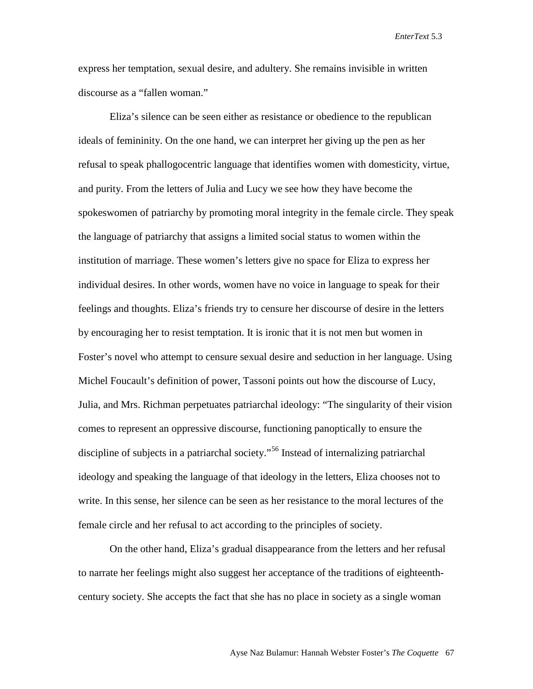express her temptation, sexual desire, and adultery. She remains invisible in written discourse as a "fallen woman."

Eliza's silence can be seen either as resistance or obedience to the republican ideals of femininity. On the one hand, we can interpret her giving up the pen as her refusal to speak phallogocentric language that identifies women with domesticity, virtue, and purity. From the letters of Julia and Lucy we see how they have become the spokeswomen of patriarchy by promoting moral integrity in the female circle. They speak the language of patriarchy that assigns a limited social status to women within the institution of marriage. These women's letters give no space for Eliza to express her individual desires. In other words, women have no voice in language to speak for their feelings and thoughts. Eliza's friends try to censure her discourse of desire in the letters by encouraging her to resist temptation. It is ironic that it is not men but women in Foster's novel who attempt to censure sexual desire and seduction in her language. Using Michel Foucault's definition of power, Tassoni points out how the discourse of Lucy, Julia, and Mrs. Richman perpetuates patriarchal ideology: "The singularity of their vision comes to represent an oppressive discourse, functioning panoptically to ensure the discipline of subjects in a patriarchal society."<sup>[56](#page-17-6)</sup> Instead of internalizing patriarchal ideology and speaking the language of that ideology in the letters, Eliza chooses not to write. In this sense, her silence can be seen as her resistance to the moral lectures of the female circle and her refusal to act according to the principles of society.

On the other hand, Eliza's gradual disappearance from the letters and her refusal to narrate her feelings might also suggest her acceptance of the traditions of eighteenthcentury society. She accepts the fact that she has no place in society as a single woman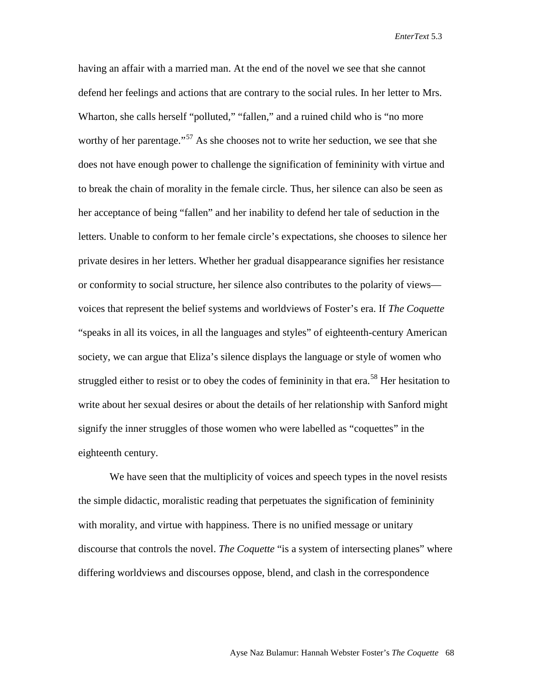having an affair with a married man. At the end of the novel we see that she cannot defend her feelings and actions that are contrary to the social rules. In her letter to Mrs. Wharton, she calls herself "polluted," "fallen," and a ruined child who is "no more worthy of her parentage."<sup>[57](#page-17-48)</sup> As she chooses not to write her seduction, we see that she does not have enough power to challenge the signification of femininity with virtue and to break the chain of morality in the female circle. Thus, her silence can also be seen as her acceptance of being "fallen" and her inability to defend her tale of seduction in the letters. Unable to conform to her female circle's expectations, she chooses to silence her private desires in her letters. Whether her gradual disappearance signifies her resistance or conformity to social structure, her silence also contributes to the polarity of views voices that represent the belief systems and worldviews of Foster's era. If *The Coquette* "speaks in all its voices, in all the languages and styles" of eighteenth-century American society, we can argue that Eliza's silence displays the language or style of women who struggled either to resist or to obey the codes of femininity in that era.<sup>[58](#page-17-49)</sup> Her hesitation to write about her sexual desires or about the details of her relationship with Sanford might signify the inner struggles of those women who were labelled as "coquettes" in the eighteenth century.

We have seen that the multiplicity of voices and speech types in the novel resists the simple didactic, moralistic reading that perpetuates the signification of femininity with morality, and virtue with happiness. There is no unified message or unitary discourse that controls the novel. *The Coquette* "is a system of intersecting planes" where differing worldviews and discourses oppose, blend, and clash in the correspondence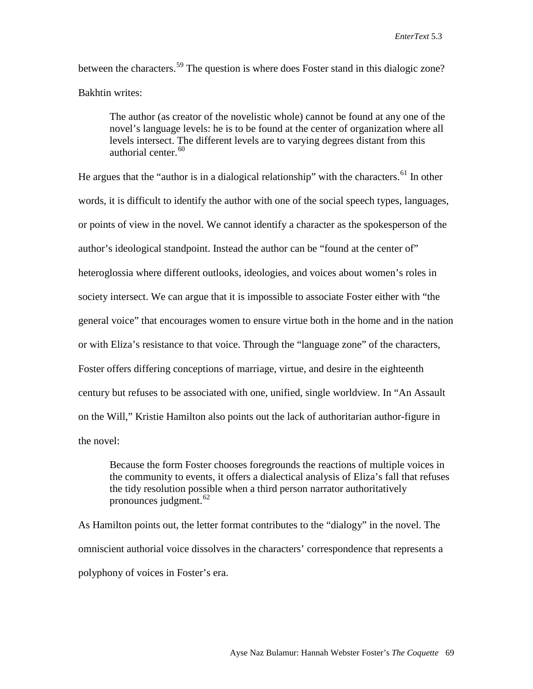between the characters.<sup>[59](#page-17-50)</sup> The question is where does Foster stand in this dialogic zone? Bakhtin writes:

The author (as creator of the novelistic whole) cannot be found at any one of the novel's language levels: he is to be found at the center of organization where all levels intersect. The different levels are to varying degrees distant from this authorial center.<sup>[60](#page-17-7)</sup>

He argues that the "author is in a dialogical relationship" with the characters.<sup>[61](#page-17-8)</sup> In other words, it is difficult to identify the author with one of the social speech types, languages, or points of view in the novel. We cannot identify a character as the spokesperson of the author's ideological standpoint. Instead the author can be "found at the center of" heteroglossia where different outlooks, ideologies, and voices about women's roles in society intersect. We can argue that it is impossible to associate Foster either with "the general voice" that encourages women to ensure virtue both in the home and in the nation or with Eliza's resistance to that voice. Through the "language zone" of the characters, Foster offers differing conceptions of marriage, virtue, and desire in the eighteenth century but refuses to be associated with one, unified, single worldview. In "An Assault on the Will," Kristie Hamilton also points out the lack of authoritarian author-figure in the novel:

Because the form Foster chooses foregrounds the reactions of multiple voices in the community to events, it offers a dialectical analysis of Eliza's fall that refuses the tidy resolution possible when a third person narrator authoritatively pronounces judgment.  $62$ 

As Hamilton points out, the letter format contributes to the "dialogy" in the novel. The omniscient authorial voice dissolves in the characters' correspondence that represents a polyphony of voices in Foster's era.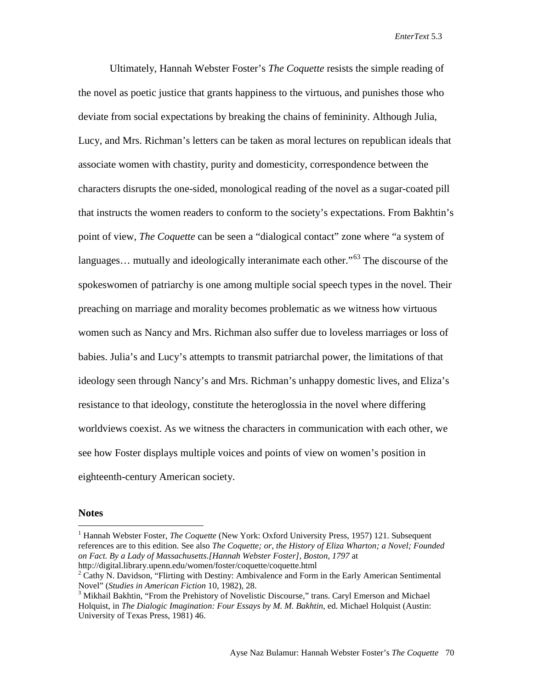Ultimately, Hannah Webster Foster's *The Coquette* resists the simple reading of the novel as poetic justice that grants happiness to the virtuous, and punishes those who deviate from social expectations by breaking the chains of femininity. Although Julia, Lucy, and Mrs. Richman's letters can be taken as moral lectures on republican ideals that associate women with chastity, purity and domesticity, correspondence between the characters disrupts the one-sided, monological reading of the novel as a sugar-coated pill that instructs the women readers to conform to the society's expectations. From Bakhtin's point of view, *The Coquette* can be seen a "dialogical contact" zone where "a system of languages... mutually and ideologically interanimate each other."<sup>[63](#page-17-51)</sup> The discourse of the spokeswomen of patriarchy is one among multiple social speech types in the novel. Their preaching on marriage and morality becomes problematic as we witness how virtuous women such as Nancy and Mrs. Richman also suffer due to loveless marriages or loss of babies. Julia's and Lucy's attempts to transmit patriarchal power, the limitations of that ideology seen through Nancy's and Mrs. Richman's unhappy domestic lives, and Eliza's resistance to that ideology, constitute the heteroglossia in the novel where differing worldviews coexist. As we witness the characters in communication with each other, we see how Foster displays multiple voices and points of view on women's position in eighteenth-century American society.

## **Notes**

<sup>&</sup>lt;sup>1</sup> Hannah Webster Foster, *The Coquette* (New York: Oxford University Press, 1957) 121. Subsequent references are to this edition. See also *The Coquette; or, the History of Eliza Wharton; a Novel; Founded on Fact. By a Lady of Massachusetts.[Hannah Webster Foster], Boston, 1797* at http://digital.library.upenn.edu/women/foster/coquette/coquette.html

 $2^2$  Cathy N. Davidson, "Flirting with Destiny: Ambivalence and Form in the Early American Sentimental Novel" (*Studies in American Fiction* 10, 1982), 28.<br><sup>3</sup> Mikhail Bakhtin, "From the Prehistory of Novelistic Discourse," trans. Caryl Emerson and Michael

Holquist, in *The Dialogic Imagination: Four Essays by M. M. Bakhtin*, ed. Michael Holquist (Austin: University of Texas Press, 1981) 46.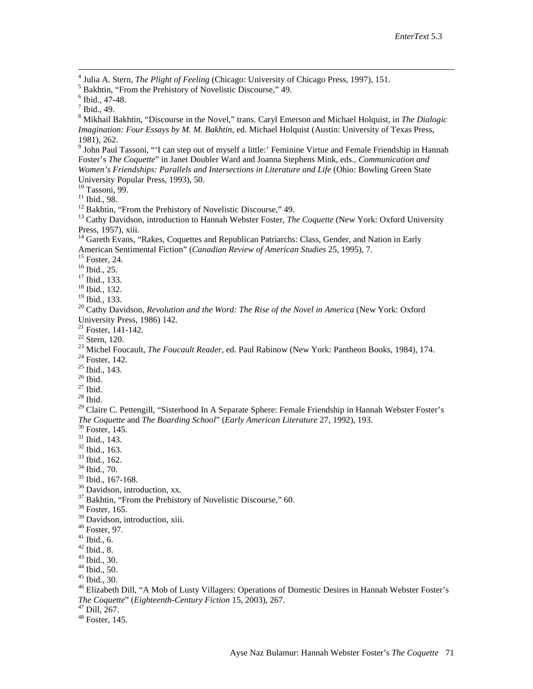<sup>4</sup> Julia A. Stern, *The Plight of Feeling* (Chicago: University of Chicago Press, 1997), 151.<br><sup>5</sup> Bakhtin, "From the Prehistory of Novelistic Discourse," 49.<br><sup>6</sup> Ibid., 47-48.<br><sup>7</sup> Ibid., 49.<br><sup>8</sup> Mikhail Bakhtin, "Discour *Imagination: Four Essays by M. M. Bakhtin*, ed. Michael Holquist (Austin: University of Texas Press, 1981), 262.<br><sup>9</sup> John Paul Tassoni, "'I can step out of myself a little:' Feminine Virtue and Female Friendship in Hannah

Foster's *The Coquette*" in Janet Doubler Ward and Joanna Stephens Mink, eds., *Communication and Women's Friendships: Parallels and Intersections in Literature and Life* (Ohio: Bowling Green State

University Popular Press, 1993), 50.<br><sup>10</sup> Tassoni, 99.<br><sup>11</sup> Ibid., 98.<br><sup>12</sup> Bakhtin, "From the Prehistory of Novelistic Discourse," 49.<br><sup>13</sup> Cathy Davidson, introduction to Hannah Webster Foster, *The Coquette* (New York:

<sup>14</sup> Gareth Evans, "Rakes, Coquettes and Republican Patriarchs: Class, Gender, and Nation in Early American Sentimental Fiction" (*Canadian Review of American Studies* 25, 1995), 7.<br><sup>15</sup> Foster, 24.<br><sup>16</sup> Ibid., 25.<br><sup>17</sup> Ibid., 133.<br><sup>18</sup> Ibid., 132.<br><sup>19</sup> Ibid., 133.

<sup>20</sup> Cathy Davidson, *Revolution and the Word: The Rise of the Novel in America* (New York: Oxford

University Press, 1986) 142.<br>
<sup>21</sup> Foster, 141-142.<br>
<sup>22</sup> Stern, 120.<br>
<sup>23</sup> Michel Foucault, *The Foucault Reader*, ed. Paul Rabinow (New York: Pantheon Books, 1984), 174.<br>
<sup>23</sup> Ibid., 143.<br>
<sup>25</sup> Ibid.<br>
<sup>26</sup> Ibid.<br>
<sup>29</sup> C The Coquette and The Boarding School" (Early American Literature 27, 1992), 193.<br><sup>30</sup> Foster, 145.<br><sup>31</sup> Ibid., 143.<br><sup>32</sup> Ibid., 163.<br><sup>33</sup> Ibid., 162.<br><sup>34</sup> Ibid., 167-168.<br><sup>35</sup> Davidson, introduction, xx.<br><sup>37</sup> Bakhtin, "Fro

<span id="page-16-0"></span>

<span id="page-16-1"></span>

<sup>39</sup> Davidson, introduction, xiii.<br>
<sup>40</sup> Foster, 97.<br>
<sup>41</sup> Ibid., 6.<br>
<sup>42</sup> Ibid., 8.<br>
<sup>43</sup> Ibid., 30.<br>
<sup>44</sup> Ibid., 50.<br>
<sup>45</sup> Ibid., 30.<br>
<sup>46</sup> Elizabeth Dill. "A Mob of Lusty Villagers: Operations of Domestic Desires in Ha *The Coquette*" (*Eighteenth-Century Fiction* 15, 2003), 267.<br><sup>47</sup> Dill, 267.<br><sup>48</sup> Foster, 145.